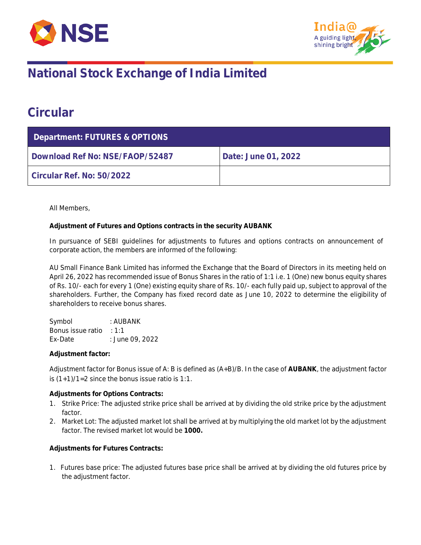



## **National Stock Exchange of India Limited**

#### **Circular**

| Department: FUTURES & OPTIONS   |                     |  |  |  |
|---------------------------------|---------------------|--|--|--|
| Download Ref No: NSE/FAOP/52487 | Date: June 01, 2022 |  |  |  |
| Circular Ref. No: 50/2022       |                     |  |  |  |

All Members,

**Adjustment of Futures and Options contracts in the security AUBANK**

In pursuance of SEBI guidelines for adjustments to futures and options contracts on announcement of corporate action, the members are informed of the following:

AU Small Finance Bank Limited has informed the Exchange that the Board of Directors in its meeting held on April 26, 2022 has recommended issue of Bonus Shares in the ratio of 1:1 i.e. 1 (One) new bonus equity shares of Rs. 10/- each for every 1 (One) existing equity share of Rs. 10/- each fully paid up, subject to approval of the shareholders. Further, the Company has fixed record date as June 10, 2022 to determine the eligibility of shareholders to receive bonus shares.

Symbol : AUBANK Bonus issue ratio : 1:1 Ex-Date : June 09, 2022

**Adjustment factor:**

Adjustment factor for Bonus issue of A: B is defined as (A+B)/B. In the case of **AUBANK**, the adjustment factor is  $(1+1)/1=2$  since the bonus issue ratio is 1:1.

**Adjustments for Options Contracts:**

- 1. Strike Price: The adjusted strike price shall be arrived at by dividing the old strike price by the adjustment factor.
- 2. Market Lot: The adjusted market lot shall be arrived at by multiplying the old market lot by the adjustment factor. The revised market lot would be **1000.**

**Adjustments for Futures Contracts:**

1. Futures base price: The adjusted futures base price shall be arrived at by dividing the old futures price by the adjustment factor.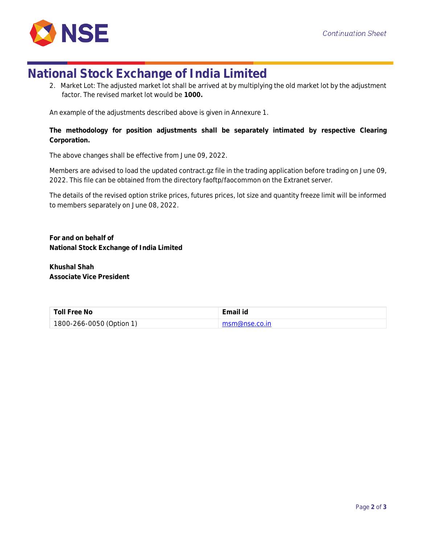

### **National Stock Exchange of India Limited**

2. Market Lot: The adjusted market lot shall be arrived at by multiplying the old market lot by the adjustment factor. The revised market lot would be **1000.**

An example of the adjustments described above is given in Annexure 1.

**The methodology for position adjustments shall be separately intimated by respective Clearing Corporation.**

The above changes shall be effective from June 09, 2022.

Members are advised to load the updated contract.gz file in the trading application before trading on June 09, 2022. This file can be obtained from the directory faoftp/faocommon on the Extranet server.

The details of the revised option strike prices, futures prices, lot size and quantity freeze limit will be informed to members separately on June 08, 2022.

**For and on behalf of National Stock Exchange of India Limited**

**Khushal Shah Associate Vice President**

| Toll Free No             | Email id       |
|--------------------------|----------------|
| 1800-266-0050 (Option 1) | msm@nse.co.in_ |